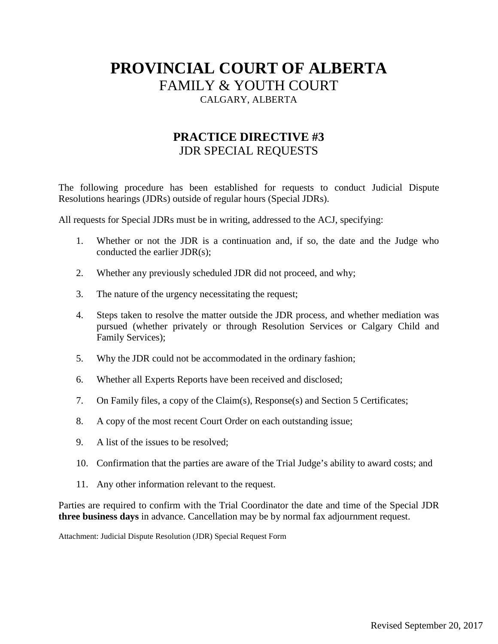# **PROVINCIAL COURT OF ALBERTA** FAMILY & YOUTH COURT CALGARY, ALBERTA

## **PRACTICE DIRECTIVE #3** JDR SPECIAL REQUESTS

The following procedure has been established for requests to conduct Judicial Dispute Resolutions hearings (JDRs) outside of regular hours (Special JDRs).

All requests for Special JDRs must be in writing, addressed to the ACJ, specifying:

- 1. Whether or not the JDR is a continuation and, if so, the date and the Judge who conducted the earlier JDR(s);
- 2. Whether any previously scheduled JDR did not proceed, and why;
- 3. The nature of the urgency necessitating the request;
- 4. Steps taken to resolve the matter outside the JDR process, and whether mediation was pursued (whether privately or through Resolution Services or Calgary Child and Family Services);
- 5. Why the JDR could not be accommodated in the ordinary fashion;
- 6. Whether all Experts Reports have been received and disclosed;
- 7. On Family files, a copy of the Claim(s), Response(s) and Section 5 Certificates;
- 8. A copy of the most recent Court Order on each outstanding issue;
- 9. A list of the issues to be resolved;
- 10. Confirmation that the parties are aware of the Trial Judge's ability to award costs; and
- 11. Any other information relevant to the request.

Parties are required to confirm with the Trial Coordinator the date and time of the Special JDR **three business days** in advance. Cancellation may be by normal fax adjournment request.

Attachment: Judicial Dispute Resolution (JDR) Special Request Form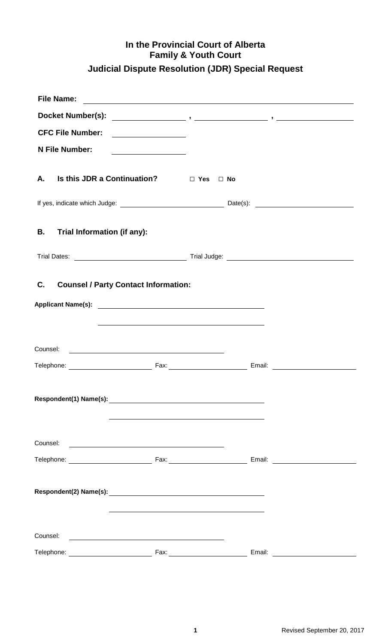# **In the Provincial Court of Alberta Family & Youth Court Judicial Dispute Resolution (JDR) Special Request**

| <b>File Name:</b>                                                                                                                                                                                                                                                                  |                                                                                                                                                                                                                               |        | <u> 1989 - Johann Stoff, deutscher Stoffen und der Stoffen und der Stoffen und der Stoffen und der Stoffen und der</u> |
|------------------------------------------------------------------------------------------------------------------------------------------------------------------------------------------------------------------------------------------------------------------------------------|-------------------------------------------------------------------------------------------------------------------------------------------------------------------------------------------------------------------------------|--------|------------------------------------------------------------------------------------------------------------------------|
|                                                                                                                                                                                                                                                                                    |                                                                                                                                                                                                                               |        |                                                                                                                        |
| <b>CFC File Number:</b>                                                                                                                                                                                                                                                            |                                                                                                                                                                                                                               |        |                                                                                                                        |
| N File Number:                                                                                                                                                                                                                                                                     |                                                                                                                                                                                                                               |        |                                                                                                                        |
|                                                                                                                                                                                                                                                                                    |                                                                                                                                                                                                                               |        |                                                                                                                        |
| Is this JDR a Continuation? □ Yes □ No<br>А.                                                                                                                                                                                                                                       |                                                                                                                                                                                                                               |        |                                                                                                                        |
|                                                                                                                                                                                                                                                                                    |                                                                                                                                                                                                                               |        |                                                                                                                        |
| Trial Information (if any):<br>В.                                                                                                                                                                                                                                                  |                                                                                                                                                                                                                               |        |                                                                                                                        |
|                                                                                                                                                                                                                                                                                    |                                                                                                                                                                                                                               |        |                                                                                                                        |
| C.<br><b>Counsel / Party Contact Information:</b><br>the control of the control of the control of the control of the control of the control of the control of the control of the control of the control of the control of the control of the control of the control of the control |                                                                                                                                                                                                                               |        |                                                                                                                        |
| Counsel:<br><u> 1989 - Andrea Stadt Britain, marwolaeth a bh</u>                                                                                                                                                                                                                   |                                                                                                                                                                                                                               |        |                                                                                                                        |
|                                                                                                                                                                                                                                                                                    |                                                                                                                                                                                                                               |        |                                                                                                                        |
|                                                                                                                                                                                                                                                                                    |                                                                                                                                                                                                                               |        |                                                                                                                        |
|                                                                                                                                                                                                                                                                                    |                                                                                                                                                                                                                               |        |                                                                                                                        |
|                                                                                                                                                                                                                                                                                    |                                                                                                                                                                                                                               |        |                                                                                                                        |
|                                                                                                                                                                                                                                                                                    | the control of the control of the control of the control of the control of the control of the control of the control of the control of the control of the control of the control of the control of the control of the control |        |                                                                                                                        |
| Counsel:<br><u> 1989 - Johann Harry Barn, mars ar breist fan de Fryske kommunent fan de ferstjerke fan de ferstjerke fan de f</u>                                                                                                                                                  |                                                                                                                                                                                                                               |        |                                                                                                                        |
| Telephone: ___________________________                                                                                                                                                                                                                                             |                                                                                                                                                                                                                               | Email: | <u> 1990 - Jan Barbara Barat III, marka Barbara Barbara Barbara Barbara Barbara Barbara Barbara Barbara Barbara B</u>  |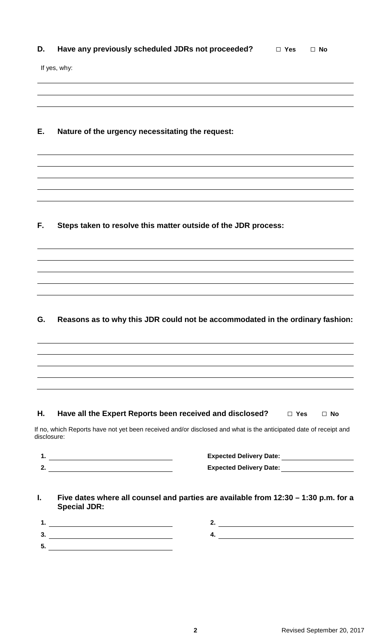| D. Have any previously scheduled JDRs not proceeded? | $\Box$ Yes $\Box$ No |  |
|------------------------------------------------------|----------------------|--|
|                                                      |                      |  |

If yes, why:

### **E. Nature of the urgency necessitating the request:**

**F. Steps taken to resolve this matter outside of the JDR process:**

## **G. Reasons as to why this JDR could not be accommodated in the ordinary fashion:**

#### **H. Have all the Expert Reports been received and disclosed? □ Yes G <b>No**

If no, which Reports have not yet been received and/or disclosed and what is the anticipated date of receipt and disclosure:

- **1. Expected Delivery Date:**
- **2. Expected Delivery Date:**

| <b>Expected Delivery Date:</b> |  |
|--------------------------------|--|
| <b>Expected Delivery Date:</b> |  |

#### **I. Five dates where all counsel and parties are available from 12:30 – 1:30 p.m. for a Special JDR:**

**1. 2. 3. 4. 5.**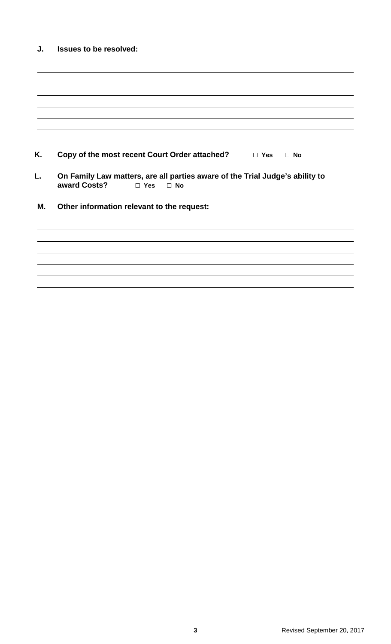| J. | <b>Issues to be resolved:</b>                                                                                           |
|----|-------------------------------------------------------------------------------------------------------------------------|
|    |                                                                                                                         |
|    |                                                                                                                         |
|    |                                                                                                                         |
|    |                                                                                                                         |
|    |                                                                                                                         |
| Κ. | Copy of the most recent Court Order attached? $\Box$ Yes<br>$\Box$ No                                                   |
| L. | On Family Law matters, are all parties aware of the Trial Judge's ability to<br>award Costs?<br>$\Box$ Yes<br>$\Box$ No |
| М. | Other information relevant to the request:                                                                              |
|    |                                                                                                                         |
|    |                                                                                                                         |
|    |                                                                                                                         |
|    |                                                                                                                         |
|    |                                                                                                                         |